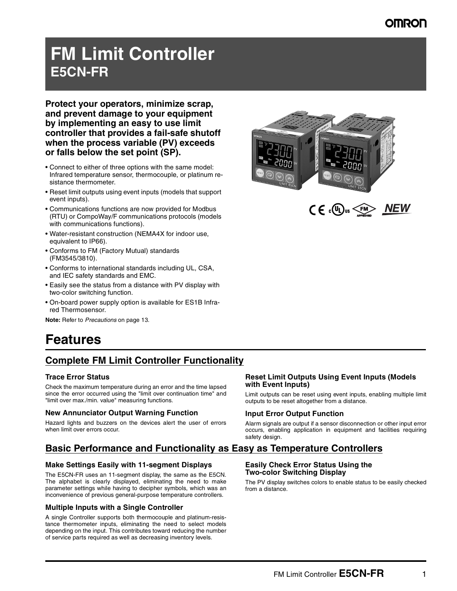# **FM Limit Controller E5CN-FR**

**Protect your operators, minimize scrap, and prevent damage to your equipment by implementing an easy to use limit controller that provides a fail-safe shutoff when the process variable (PV) exceeds or falls below the set point (SP).** 

- Connect to either of three options with the same model: Infrared temperature sensor, thermocouple, or platinum resistance thermometer.
- Reset limit outputs using event inputs (models that support event inputs).
- Communications functions are now provided for Modbus (RTU) or CompoWay/F communications protocols (models with communications functions).
- Water-resistant construction (NEMA4X for indoor use, equivalent to IP66).
- Conforms to FM (Factory Mutual) standards (FM3545/3810).
- Conforms to international standards including UL, CSA, and IEC safety standards and EMC.
- Easily see the status from a distance with PV display with two-color switching function.
- On-board power supply option is available for ES1B Infrared Thermosensor.

**Note:** Refer to Precautions on [page 13](#page-12-0).

# **Features**

## **Complete FM Limit Controller Functionality**

### **Trace Error Status**

Check the maximum temperature during an error and the time lapsed since the error occurred using the "limit over continuation time" and "limit over max./min. value" measuring functions.

### **New Annunciator Output Warning Function**

Hazard lights and buzzers on the devices alert the user of errors when limit over errors occur.

## **Basic Performance and Functionality as Easy as Temperature Controllers**

### **Make Settings Easily with 11-segment Displays**

The E5CN-FR uses an 11-segment display, the same as the E5CN. The alphabet is clearly displayed, eliminating the need to make parameter settings while having to decipher symbols, which was an inconvenience of previous general-purpose temperature controllers.

### **Multiple Inputs with a Single Controller**

A single Controller supports both thermocouple and platinum-resistance thermometer inputs, eliminating the need to select models depending on the input. This contributes toward reducing the number of service parts required as well as decreasing inventory levels.





#### **Reset Limit Outputs Using Event Inputs (Models with Event Inputs)**

Limit outputs can be reset using event inputs, enabling multiple limit outputs to be reset altogether from a distance.

#### **Input Error Output Function**

Alarm signals are output if a sensor disconnection or other input error occurs, enabling application in equipment and facilities requiring safety design.

#### **Easily Check Error Status Using the Two-color Switching Display**

The PV display switches colors to enable status to be easily checked from a distance.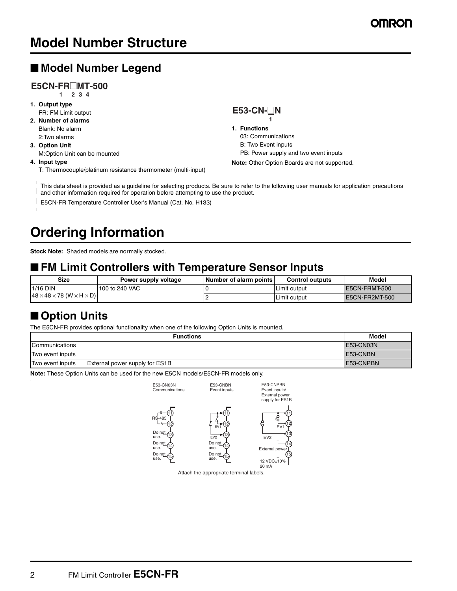## **Model Number Legend**

### **E5CN-FR**@**MT-500**

**1 2 3 4**

- **1. Output type** FR: FM Limit output
- **2. Number of alarms**
- Blank: No alarm 2:Two alarms
- **3. Option Unit** M:Option Unit can be mounted

#### **4. Input type**

 $\mathbb L$ 

T: Thermocouple/platinum resistance thermometer (multi-input)

### **1 E53-CN-**@**N**

#### **1. Functions**

03: Communications B: Two Event inputs PB: Power supply and two event inputs

**Note:** Other Option Boards are not supported.

. \_ \_ \_ \_ \_ \_ \_ \_ \_ \_ \_ \_  $\Gamma$ This data sheet is provided as a guideline for selecting products. Be sure to refer to the following user manuals for application precautions and other information required for operation before attempting to use the product.

E5CN-FR Temperature Controller User's Manual (Cat. No. H133)

# **Ordering Information**

**Stock Note:** Shaded models are normally stocked.

## ■ FM Limit Controllers with Temperature Sensor Inputs

| Size                                                | Power supply voltage | <b>Number of alarm points</b> | <b>Control outputs</b> | Model          |
|-----------------------------------------------------|----------------------|-------------------------------|------------------------|----------------|
| $1/16$ DIN                                          | 100 to 240 VAC       |                               | Limit output           | E5CN-FRMT-500  |
| $148 \times 48 \times 78$ (W $\times$ H $\times$ D) |                      |                               | i Limit output         | E5CN-FR2MT-500 |

## ■ Option Units

The E5CN-FR provides optional functionality when one of the following Option Units is mounted.

|                       | <b>Model</b>                   |           |
|-----------------------|--------------------------------|-----------|
| <b>Communications</b> |                                | E53-CN03N |
| Two event inputs      |                                | E53-CNBN  |
| Two event inputs      | External power supply for ES1B | E53-CNPBN |

**Note:** These Option Units can be used for the new E5CN models/E5CN-FR models only.



Attach the appropriate terminal labels.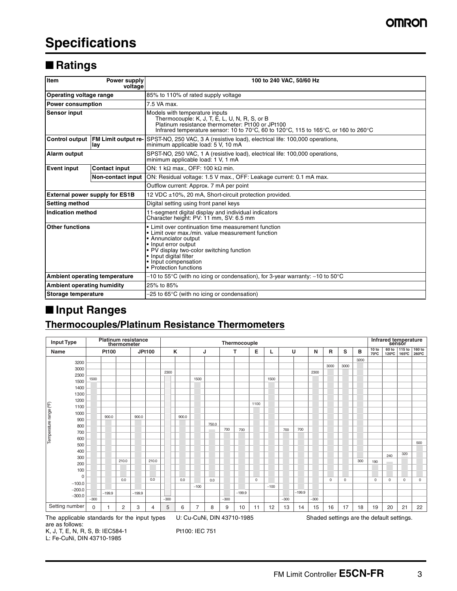# **Specifications**

# Q **Ratings**

| Item                              | <b>Power supply</b><br>voltage        | 100 to 240 VAC, 50/60 Hz                                                                                                                                                                                                                                                          |  |  |  |
|-----------------------------------|---------------------------------------|-----------------------------------------------------------------------------------------------------------------------------------------------------------------------------------------------------------------------------------------------------------------------------------|--|--|--|
| Operating voltage range           |                                       | 85% to 110% of rated supply voltage                                                                                                                                                                                                                                               |  |  |  |
| <b>Power consumption</b>          |                                       | 7.5 VA max.                                                                                                                                                                                                                                                                       |  |  |  |
| <b>Sensor input</b>               |                                       | Models with temperature inputs<br>Thermocouple: K, J, T, E, L, U, N, R, S, or B<br>Platinum resistance thermometer: Pt100 or JPt100<br>Infrared temperature sensor: 10 to 70°C, 60 to 120°C, 115 to 165°C, or 160 to 260°C                                                        |  |  |  |
| Control output<br>lay             |                                       | FM Limit output re- SPST-NO, 250 VAC, 3 A (resistive load), electrical life: 100,000 operations,<br>minimum applicable load: 5 V, 10 mA                                                                                                                                           |  |  |  |
| Alarm output                      |                                       | SPST-NO, 250 VAC, 1 A (resistive load), electrical life: 100,000 operations,<br>minimum applicable load: 1 V. 1 mA                                                                                                                                                                |  |  |  |
| <b>Event input</b>                | <b>Contact input</b>                  | ON: 1 kΩ max OFF: 100 kΩ min.                                                                                                                                                                                                                                                     |  |  |  |
| Non-contact input                 |                                       | ON: Residual voltage: 1.5 V max., OFF: Leakage current: 0.1 mA max.                                                                                                                                                                                                               |  |  |  |
|                                   |                                       | Outflow current: Approx. 7 mA per point                                                                                                                                                                                                                                           |  |  |  |
|                                   | <b>External power supply for ES1B</b> | 12 VDC ±10%, 20 mA, Short-circuit protection provided.                                                                                                                                                                                                                            |  |  |  |
| <b>Setting method</b>             |                                       | Digital setting using front panel keys                                                                                                                                                                                                                                            |  |  |  |
| Indication method                 |                                       | 11-segment digital display and individual indicators<br>Character height: PV: 11 mm, SV: 6.5 mm                                                                                                                                                                                   |  |  |  |
| <b>Other functions</b>            |                                       | • Limit over continuation time measurement function<br>• Limit over max./min. value measurement function<br>• Annunciator output<br>• Input error output<br>• PV display two-color switching function<br>• Input digital filter<br>• Input compensation<br>• Protection functions |  |  |  |
|                                   | Ambient operating temperature         | $-10$ to 55°C (with no icing or condensation), for 3-year warranty: $-10$ to 50°C                                                                                                                                                                                                 |  |  |  |
| <b>Ambient operating humidity</b> |                                       | 25% to 85%                                                                                                                                                                                                                                                                        |  |  |  |
| Storage temperature               |                                       | -25 to 65 $\mathrm{^{\circ}C}$ (with no icing or condensation)                                                                                                                                                                                                                    |  |  |  |

## Q **Input Ranges**

## **Thermocouples/Platinum Resistance Thermometers**

| Input Type                                 |                                                                                                                                                                               | <b>Platinum resistance</b> | thermometer |          |               |        |       |        |       |        | Thermocouple |             |        |        |          |        |         |             |      | Infrared temperature<br>sensor |                             |                              |                 |
|--------------------------------------------|-------------------------------------------------------------------------------------------------------------------------------------------------------------------------------|----------------------------|-------------|----------|---------------|--------|-------|--------|-------|--------|--------------|-------------|--------|--------|----------|--------|---------|-------------|------|--------------------------------|-----------------------------|------------------------------|-----------------|
| Name                                       |                                                                                                                                                                               | Pt100                      |             |          | <b>JPt100</b> |        | κ     | J      |       |        | т            | Е           | L      |        | U        | N      | R       | s           | в    | 10 to<br>70°C                  | 60 to<br>120 <sup>o</sup> C | 115 to<br>165 <sup>°</sup> C | 160 to<br>260°C |
| 3200                                       |                                                                                                                                                                               |                            |             |          |               |        |       |        |       |        |              |             |        |        |          |        |         |             | 3200 |                                |                             |                              |                 |
| 3000                                       |                                                                                                                                                                               |                            |             |          |               |        |       |        |       |        |              |             |        |        |          |        | 3000    | 3000        |      |                                |                             |                              |                 |
| 2300                                       |                                                                                                                                                                               |                            |             |          |               | 2300   |       |        |       |        |              |             |        |        |          | 2300   |         |             |      |                                |                             |                              |                 |
| 1500                                       | 1500                                                                                                                                                                          |                            |             |          |               |        |       | 1500   |       |        |              |             | 1500   |        |          |        |         |             |      |                                |                             |                              |                 |
| 1400                                       |                                                                                                                                                                               |                            |             |          |               |        |       |        |       |        |              |             |        |        |          |        |         |             |      |                                |                             |                              |                 |
| 1300                                       |                                                                                                                                                                               |                            |             |          |               |        |       |        |       |        |              |             |        |        |          |        |         |             |      |                                |                             |                              |                 |
| 1200                                       |                                                                                                                                                                               |                            |             |          |               |        |       |        |       |        |              |             |        |        |          |        |         |             |      |                                |                             |                              |                 |
| 1100                                       |                                                                                                                                                                               |                            |             |          |               |        |       |        |       |        |              | 1100        |        |        |          |        |         |             |      |                                |                             |                              |                 |
| 1000                                       |                                                                                                                                                                               |                            |             |          |               |        |       |        |       |        |              |             |        |        |          |        |         |             |      |                                |                             |                              |                 |
| 900                                        |                                                                                                                                                                               | 900.0                      |             | 900.0    |               |        | 900.0 |        |       |        |              |             |        |        |          |        |         |             |      |                                |                             |                              |                 |
| 800                                        |                                                                                                                                                                               |                            |             |          |               |        |       |        | 750.0 |        |              |             |        |        |          |        |         |             |      |                                |                             |                              |                 |
| Temperature range ( <sup>e</sup> F)<br>700 |                                                                                                                                                                               |                            |             |          |               |        |       |        |       | 700    | 700          |             |        | 700    | 700      |        |         |             |      |                                |                             |                              |                 |
| 600                                        |                                                                                                                                                                               |                            |             |          |               |        |       |        |       |        |              |             |        |        |          |        |         |             |      |                                |                             |                              |                 |
| 500                                        |                                                                                                                                                                               |                            |             |          |               |        |       |        |       |        |              |             |        |        |          |        |         |             |      |                                |                             |                              | 500             |
| 400                                        |                                                                                                                                                                               |                            |             |          |               |        |       |        |       |        |              |             |        |        |          |        |         |             |      |                                |                             | 320                          |                 |
| 300                                        |                                                                                                                                                                               |                            | 210.0       |          | 210.0         |        |       |        |       |        |              |             |        |        |          |        |         |             | 300  |                                | 240                         |                              |                 |
| 200                                        |                                                                                                                                                                               |                            |             |          |               |        |       |        |       |        |              |             |        |        |          |        |         |             |      | 190                            |                             |                              |                 |
| 100                                        |                                                                                                                                                                               |                            |             |          |               |        |       |        |       |        |              |             |        |        |          |        |         |             |      |                                |                             |                              |                 |
| $\mathbf 0$                                |                                                                                                                                                                               |                            | 0.0         |          | 0.0           |        | 0.0   |        |       |        |              | $\mathbf 0$ |        |        |          |        | $\circ$ | $\mathbf 0$ |      | $\circ$                        | $\mathbf 0$                 | $\mathbf 0$                  | $\mathbf 0$     |
| $-100.0$                                   |                                                                                                                                                                               |                            |             |          |               |        |       |        | 0.0   |        |              |             |        |        |          |        |         |             |      |                                |                             |                              |                 |
| $-200.0$                                   |                                                                                                                                                                               |                            |             |          |               |        |       | $-100$ |       |        | $-199.9$     |             | $-100$ |        | $-199.9$ |        |         |             |      |                                |                             |                              |                 |
| $-300.0$                                   | $-300$                                                                                                                                                                        | $-199.9$                   |             | $-199.9$ |               | $-300$ |       |        |       | $-300$ |              |             |        | $-300$ |          | $-300$ |         |             |      |                                |                             |                              |                 |
| Setting number                             |                                                                                                                                                                               |                            |             |          |               |        |       |        |       |        |              |             |        |        |          |        |         |             |      |                                |                             |                              |                 |
|                                            | $\Omega$                                                                                                                                                                      |                            | 2           | 3        | 4             | 5      | 6     | 7      | 8     | 9      | 10           | 11          | 12     | 13     | 14       | 15     | 16      | 17          | 18   | 19                             | 20                          | 21                           | 22              |
| are as follows:                            | U: Cu-CuNi, DIN 43710-1985<br>Shaded settings are the default settings.<br>The applicable standards for the input types<br>K, J, T, E, N, R, S, B: IEC584-1<br>Pt100: IEC 751 |                            |             |          |               |        |       |        |       |        |              |             |        |        |          |        |         |             |      |                                |                             |                              |                 |

L: Fe-CuNi, DIN 43710-1985

Pt100: IEC 751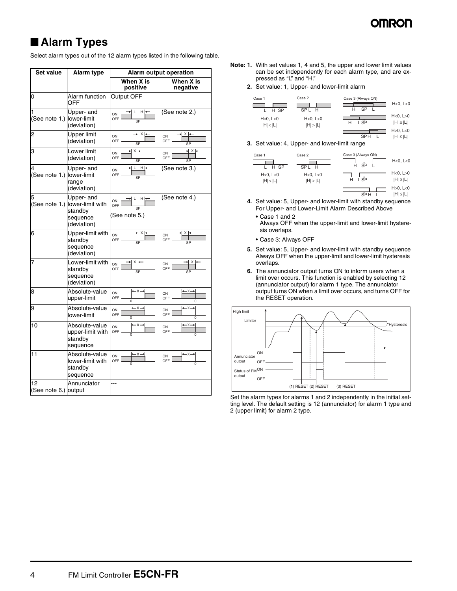SPH L ∥H∣≤∥L∣

## $\blacksquare$  **Alarm Types**

Select alarm types out of the 12 alarm types listed in the following table.

| Set value                      | Alarm type                                                                         |                                                            | Alarm output operation              |
|--------------------------------|------------------------------------------------------------------------------------|------------------------------------------------------------|-------------------------------------|
|                                |                                                                                    | When X is<br>positive                                      | When X is<br>negative               |
| 0                              | Alarm function<br>OFF                                                              | Output OFF                                                 |                                     |
| 1<br>(See note 1.) lower-limit | Upper- and<br>(deviation)                                                          | H<br>L<br>ON<br>OFF<br>SP                                  | (See note 2.)                       |
| 2                              | <b>Upper limit</b><br>(deviation)                                                  | $\mathsf X$<br>ON<br>OFF<br>SP                             | $x \mid \bullet$<br>ON<br>OFF<br>SP |
| 3                              | Lower limit<br>(deviation)                                                         | $x \rightarrow$<br>ON<br>OFF<br>SP                         | → × ←<br>ON<br>OFF<br>SP            |
| 4<br>(See note 1.) lower-limit | Upper- and<br>range<br>(deviation)                                                 | H <br>$\mathbf{L}$<br>ON<br>OFF<br>SP                      | (See note 3.)                       |
| 5                              | Upper- and<br>(See note 1.) lower-limit with<br>standby<br>sequence<br>(deviation) | 디버<br>ON<br>OFF<br>$\overline{\text{SP}}$<br>(See note 5.) | (See note 4.)                       |
| 6                              | Upper-limit with<br>standby<br>sequence<br>(deviation)                             | $x \mid$<br>ON<br>OFF<br>SP                                | x  ⊷<br>ON<br>OFF<br><b>SP</b>      |
| 7                              | Lower-limit with<br>standby<br>sequence<br>(deviation)                             | $x \mid$<br>ON<br>OFF<br>SP                                | Χ<br>ON<br>OFF<br>SP                |
| 8                              | Absolute-value<br>upper-limit                                                      | ۰X<br>ON<br>OFF<br>$\Omega$                                | ON<br>OFF<br>$\Omega$               |
| 9                              | Absolute-value<br>lower-limit                                                      | -х-<br>ON<br>OFF<br>0                                      | ۰x<br>ON<br>OFF<br>$\mathbf 0$      |
| 10                             | Absolute-value<br>upper-limit with<br>standby<br>sequence                          | -х<br>ON<br>OFF                                            | ON<br><b>OFF</b><br>$\mathbf 0$     |
| 11                             | Absolute-value<br>lower-limit with<br>standby<br>sequence                          | ON<br>OFF                                                  | ON<br>OFF<br>$\overline{0}$         |
| 12<br>(See note 6.) output     | Annunciator                                                                        | ---                                                        |                                     |

- **Note: 1.** With set values 1, 4 and 5, the upper and lower limit values can be set independently for each alarm type, and are expressed as "L" and "H."
	- **2.** Set value: 1, Upper- and lower-limit alarm

| Case 1                   | Case 2                        | Case 3 (Always ON) |                            |
|--------------------------|-------------------------------|--------------------|----------------------------|
| H SP                     | SPL H                         | <b>SP</b>          | H<0, L<0                   |
| H < 0, L > 0<br> H  <  L | $H > 0$ , $L < 0$<br> H  >  L | L SP               | H<0, L>0<br>$ H  \geq  L $ |
|                          |                               |                    | H > 0, L < 0               |

#### **3.** Set value: 4, Upper- and lower-limit range

| Case 1<br>H SP           | Case 2<br>SP <sub>L</sub><br>H | Case 3 (Always ON)<br><b>SP</b><br>н | H<0, L<0                       |
|--------------------------|--------------------------------|--------------------------------------|--------------------------------|
| H < 0, L > 0<br> H  <  L | $H > 0$ , $L < 0$<br> H  >  L  | L SP<br>н                            | H<0, L>0<br>$ H  \geq  L $     |
|                          |                                | $S$ P $H$                            | H > 0, L < 0<br>$ H  \leq  L $ |

- **4.** Set value: 5, Upper- and lower-limit with standby sequence For Upper- and Lower-Limit Alarm Described Above
	- **•** Case 1 and 2 Always OFF when the upper-limit and lower-limit hysteresis overlaps.
	- **•** Case 3: Always OFF
- **5.** Set value: 5, Upper- and lower-limit with standby sequence Always OFF when the upper-limit and lower-limit hysteresis overlaps.
- **6.** The annunciator output turns ON to inform users when a limit over occurs. This function is enabled by selecting 12 (annunciator output) for alarm 1 type. The annunciator output turns ON when a limit over occurs, and turns OFF for the RESET operation.



Set the alarm types for alarms 1 and 2 independently in the initial setting level. The default setting is 12 (annunciator) for alarm 1 type and 2 (upper limit) for alarm 2 type.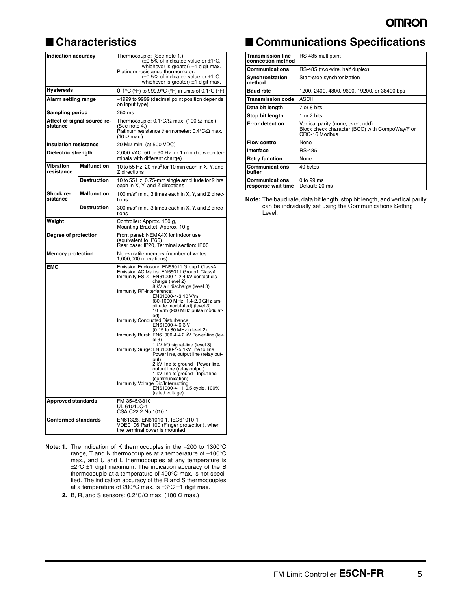## ■ Characteristics

| Indication accuracy                         |                             | Thermocouple: (See note 1.)<br>$(\pm 0.5\%$ of indicated value or $\pm 1\degree C$ ,<br>whichever is greater) $\pm 1$ digit max.<br>Platinum resistance thermometer:<br>$(\pm 0.5\%$ of indicated value or $\pm 1\degree C$ ,<br>whichever is greater) $\pm 1$ digit max.                                                                                                                                                                                                                                                                                                                                                                                                                                                                                                                                                                               |  |  |  |  |
|---------------------------------------------|-----------------------------|---------------------------------------------------------------------------------------------------------------------------------------------------------------------------------------------------------------------------------------------------------------------------------------------------------------------------------------------------------------------------------------------------------------------------------------------------------------------------------------------------------------------------------------------------------------------------------------------------------------------------------------------------------------------------------------------------------------------------------------------------------------------------------------------------------------------------------------------------------|--|--|--|--|
| <b>Hysteresis</b>                           |                             | $0.1^{\circ}$ C (°F) to 999.9°C (°F) in units of 0.1°C (°F)                                                                                                                                                                                                                                                                                                                                                                                                                                                                                                                                                                                                                                                                                                                                                                                             |  |  |  |  |
| Alarm setting range                         |                             | -1999 to 9999 (decimal point position depends<br>on input type)                                                                                                                                                                                                                                                                                                                                                                                                                                                                                                                                                                                                                                                                                                                                                                                         |  |  |  |  |
| Sampling period                             |                             | 250 ms                                                                                                                                                                                                                                                                                                                                                                                                                                                                                                                                                                                                                                                                                                                                                                                                                                                  |  |  |  |  |
| sistance                                    | Affect of signal source re- | Thermocouple: $0.1^{\circ}C/\Omega$ max. (100 $\Omega$ max.)<br>(See note 4.)<br>Platinum resistance thermometer: $0.4^{\circ}C/\Omega$ max.<br>$(10 \Omega \text{ max.})$                                                                                                                                                                                                                                                                                                                                                                                                                                                                                                                                                                                                                                                                              |  |  |  |  |
| Insulation resistance                       |                             | 20 MΩ min. (at 500 VDC)                                                                                                                                                                                                                                                                                                                                                                                                                                                                                                                                                                                                                                                                                                                                                                                                                                 |  |  |  |  |
| Dielectric strength                         |                             | 2,000 VAC, 50 or 60 Hz for 1 min (between ter-<br>minals with different charge)                                                                                                                                                                                                                                                                                                                                                                                                                                                                                                                                                                                                                                                                                                                                                                         |  |  |  |  |
| Vibration<br>resistance                     | <b>Malfunction</b>          | 10 to 55 Hz, 20 m/s <sup>2</sup> for 10 min each in X, Y, and<br>Z directions                                                                                                                                                                                                                                                                                                                                                                                                                                                                                                                                                                                                                                                                                                                                                                           |  |  |  |  |
|                                             | <b>Destruction</b>          | 10 to 55 Hz, 0.75-mm single amplitude for 2 hrs each in X, Y, and Z directions                                                                                                                                                                                                                                                                                                                                                                                                                                                                                                                                                                                                                                                                                                                                                                          |  |  |  |  |
| Shock re-<br><b>Malfunction</b><br>sistance |                             | 100 m/s <sup>2</sup> min., 3 times each in X, Y, and Z direc-<br>tions                                                                                                                                                                                                                                                                                                                                                                                                                                                                                                                                                                                                                                                                                                                                                                                  |  |  |  |  |
| <b>Destruction</b>                          |                             | 300 m/s <sup>2</sup> min., 3 times each in X, Y, and Z direc-<br>tions                                                                                                                                                                                                                                                                                                                                                                                                                                                                                                                                                                                                                                                                                                                                                                                  |  |  |  |  |
| Weight                                      |                             | Controller: Approx. 150 g,<br>Mounting Bracket: Approx. 10 g                                                                                                                                                                                                                                                                                                                                                                                                                                                                                                                                                                                                                                                                                                                                                                                            |  |  |  |  |
| Degree of protection                        |                             | Front panel: NEMA4X for indoor use<br>(equivalent to IP66)<br>Rear case: IP20, Terminal section: IP00                                                                                                                                                                                                                                                                                                                                                                                                                                                                                                                                                                                                                                                                                                                                                   |  |  |  |  |
| <b>Memory protection</b>                    |                             | Non-volatile memory (number of writes:<br>1,000,000 operations)                                                                                                                                                                                                                                                                                                                                                                                                                                                                                                                                                                                                                                                                                                                                                                                         |  |  |  |  |
| EMC                                         |                             | Emission Enclosure: EN55011 Group1 ClassA<br>Emission AC Mains: EN55011 Group1 ClassA<br>Immunity ESD: EN61000-4-2 4 kV contact dis-<br>charge (level 2)<br>8 kV air discharge (level 3)<br>Immunity RF-interference:<br>EN61000-4-3 10 V/m<br>(80-1000 MHz, 1.4-2.0 GHz am-<br>plitude modulated) (level 3)<br>10 V/m (900 MHz pulse modulat-<br>ed)<br>Immunity Conducted Disturbance:<br>EN61000-4-6 3 V<br>(0.15 to 80 MHz) (level 2)<br>Immunity Burst: EN61000-4-4 2 kV Power-line (lev-<br>el 3)<br>1 kV I/O signal-line (level 3)<br>Immunity Surge: EN61000-4-5 1kV line to line<br>Power line, output line (relay out-<br>put)<br>2 kV line to ground Power line,<br>output line (relay output)<br>1 kV line to ground Input line<br>(communication)<br>Immunity Voltage Dip/Interrupting:<br>EN61000-4-11 0.5 cycle, 100%<br>(rated voltage) |  |  |  |  |
| <b>Approved standards</b>                   |                             | FM-3545/3810<br>UL 61010C-1                                                                                                                                                                                                                                                                                                                                                                                                                                                                                                                                                                                                                                                                                                                                                                                                                             |  |  |  |  |
| <b>Conformed standards</b>                  |                             | CSA C22.2 No.1010.1<br>EN61326, EN61010-1, IEC61010-1<br>VDE0106 Part 100 (Finger protection), when<br>the terminal cover is mounted.                                                                                                                                                                                                                                                                                                                                                                                                                                                                                                                                                                                                                                                                                                                   |  |  |  |  |

- **Note: 1.** The indication of K thermocouples in the −200 to 1300°C range, T and N thermocouples at a temperature of −100°C max., and U and L thermocouples at any temperature is ±2°C ±1 digit maximum. The indication accuracy of the B thermocouple at a temperature of 400°C max. is not specified. The indication accuracy of the R and S thermocouples at a temperature of 200°C max. is  $\pm 3$ °C  $\pm 1$  digit max.
	- **2.** B, R, and S sensors: 0.2°C/Ω max. (100 Ω max.)

## ■ Communications Specifications

| <b>Transmission line</b><br>connection method | RS-485 multipoint                                                                                    |
|-----------------------------------------------|------------------------------------------------------------------------------------------------------|
| Communications                                | RS-485 (two-wire, half duplex)                                                                       |
| Synchronization<br>method                     | Start-stop synchronization                                                                           |
| <b>Baud rate</b>                              | 1200, 2400, 4800, 9600, 19200, or 38400 bps                                                          |
| <b>Transmission code</b>                      | <b>ASCII</b>                                                                                         |
| Data bit length                               | 7 or 8 bits                                                                                          |
| Stop bit length                               | 1 or 2 bits                                                                                          |
| <b>Error detection</b>                        | Vertical parity (none, even, odd)<br>Block check character (BCC) with CompoWay/F or<br>CRC-16 Modbus |
| <b>Flow control</b>                           | None                                                                                                 |
| Interface                                     | <b>RS-485</b>                                                                                        |
| <b>Retry function</b>                         | None                                                                                                 |
| <b>Communications</b><br>buffer               | 40 bytes                                                                                             |
| <b>Communications</b><br>response wait time   | $0$ to 99 ms<br>Default: 20 ms                                                                       |

**Note:** The baud rate, data bit length, stop bit length, and vertical parity can be individually set using the Communications Setting Level.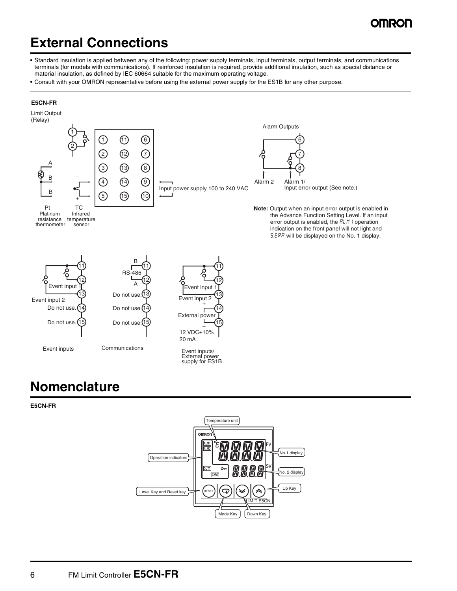# **External Connections**

- **•** Standard insulation is applied between any of the following: power supply terminals, input terminals, output terminals, and communications terminals (for models with communications). If reinforced insulation is required, provide additional insulation, such as spacial distance or material insulation, as defined by IEC 60664 suitable for the maximum operating voltage.
- **•** Consult with your OMRON representative before using the external power supply for the ES1B for any other purpose.

#### **E5CN-FR**



## **Nomenclature**

**E5CN-FR**

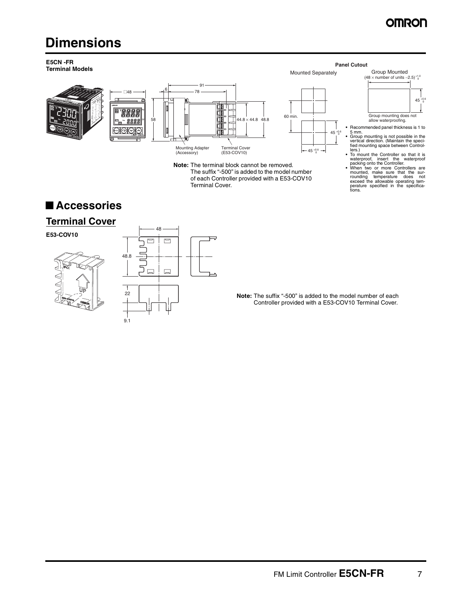# **Dimensions**



Terminal Cover.

of each Controller provided with a E53-COV10

## ■ Accessories

### **Terminal Cover**





**Note:** The suffix "-500" is added to the model number of each Controller provided with a E53-COV10 Terminal Cover.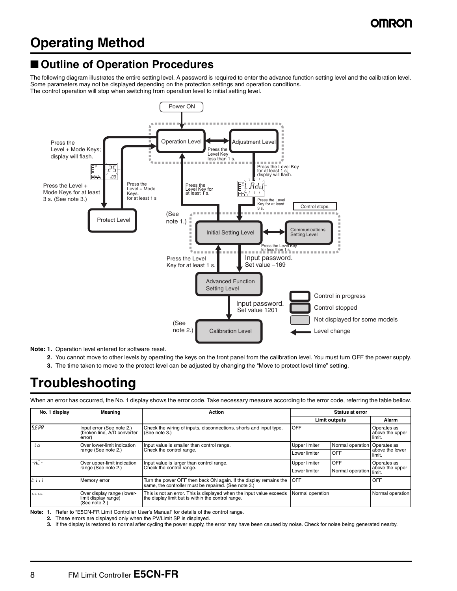# **Operating Method**

## ■ Outline of Operation Procedures

The following diagram illustrates the entire setting level. A password is required to enter the advance function setting level and the calibration level. Some parameters may not be displayed depending on the protection settings and operation conditions. The control operation will stop when switching from operation level to initial setting level.



**Note: 1.** Operation level entered for software reset.

- **2.** You cannot move to other levels by operating the keys on the front panel from the calibration level. You must turn OFF the power supply.
- **3.** The time taken to move to the protect level can be adjusted by changing the "Move to protect level time" setting.

# **Troubleshooting**

When an error has occurred, the No. 1 display shows the error code. Take necessary measure according to the error code, referring the table bellow.

| No. 1 display       | Meaning                                                             | Action                                                                                                                     | <b>Status at error</b> |                                          |                           |  |  |  |
|---------------------|---------------------------------------------------------------------|----------------------------------------------------------------------------------------------------------------------------|------------------------|------------------------------------------|---------------------------|--|--|--|
|                     |                                                                     |                                                                                                                            |                        | <b>Limit outputs</b>                     |                           |  |  |  |
| <b>SERR</b>         | Input error (See note 2.)<br>(broken line, A/D converter<br>error)  | Check the wiring of inputs, disconnections, shorts and input type.<br>(See note 3.)                                        | <b>OFF</b>             | Operates as<br>above the upper<br>limit. |                           |  |  |  |
| $-L\bar{a}$         | Over lower-limit indication                                         | Input value is smaller than control range.                                                                                 | Upper limiter          | Normal operation Operates as             |                           |  |  |  |
| range (See note 2.) |                                                                     | Check the control range.                                                                                                   | Lower limiter          | <b>OFF</b>                               | above the lower<br>limit. |  |  |  |
| $-H^-$              | Over upper-limit indication                                         | Input value is larger than control range.                                                                                  | Upper limiter          | <b>OFF</b>                               | Operates as               |  |  |  |
| range (See note 2.) |                                                                     | Check the control range.                                                                                                   | Lower limiter          | Normal operation                         | above the upper<br>limit. |  |  |  |
| EIII                | Memory error                                                        | Turn the power OFF then back ON again. If the display remains the<br>same, the controller must be repaired. (See note 3.)  |                        | OFF                                      |                           |  |  |  |
| CCCC                | Over display range (lower-<br>limit display range)<br>(See note 2.) | This is not an error. This is displayed when the input value exceeds<br>the display limit but is within the control range. | Normal operation       |                                          | Normal operation          |  |  |  |

**Note: 1.** Refer to "E5CN-FR Limit Controller User's Manual" for details of the control range.

**2.** These errors are displayed only when the PV/Limit SP is displayed.

**3.** If the display is restored to normal after cycling the power supply, the error may have been caused by noise. Check for noise being generated nearby.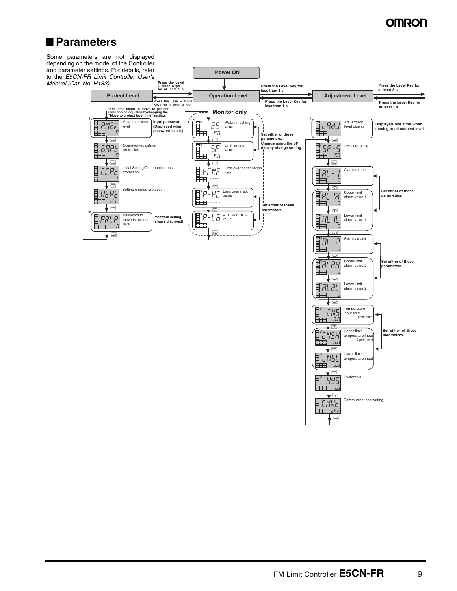## ■ Parameters

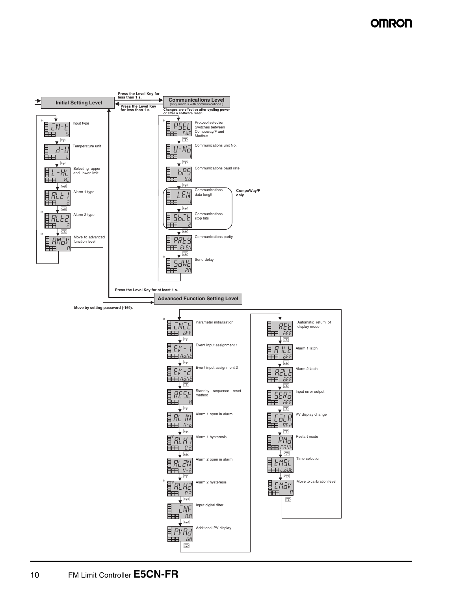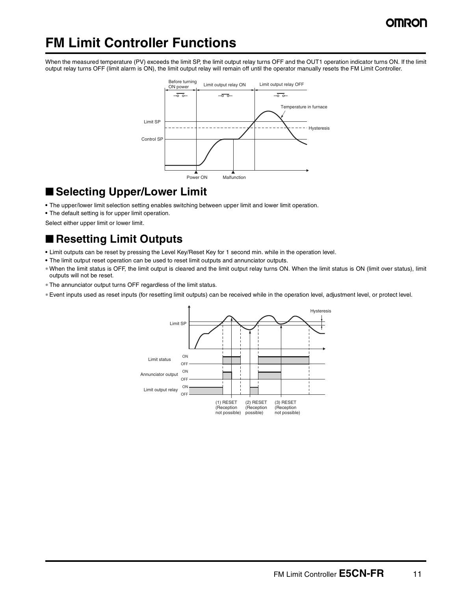# **FM Limit Controller Functions**

When the measured temperature (PV) exceeds the limit SP, the limit output relay turns OFF and the OUT1 operation indicator turns ON. If the limit output relay turns OFF (limit alarm is ON), the limit output relay will remain off until the operator manually resets the FM Limit Controller.



## ■ Selecting Upper/Lower Limit

- **•** The upper/lower limit selection setting enables switching between upper limit and lower limit operation.
- **•** The default setting is for upper limit operation.

Select either upper limit or lower limit.

## ■ Resetting Limit Outputs

- **•** Limit outputs can be reset by pressing the Level Key/Reset Key for 1 second min. while in the operation level.
- **•** The limit output reset operation can be used to reset limit outputs and annunciator outputs.
- ∗ When the limit status is OFF, the limit output is cleared and the limit output relay turns ON. When the limit status is ON (limit over status), limit outputs will not be reset.
- ∗ The annunciator output turns OFF regardless of the limit status.
- ∗ Event inputs used as reset inputs (for resetting limit outputs) can be received while in the operation level, adjustment level, or protect level.

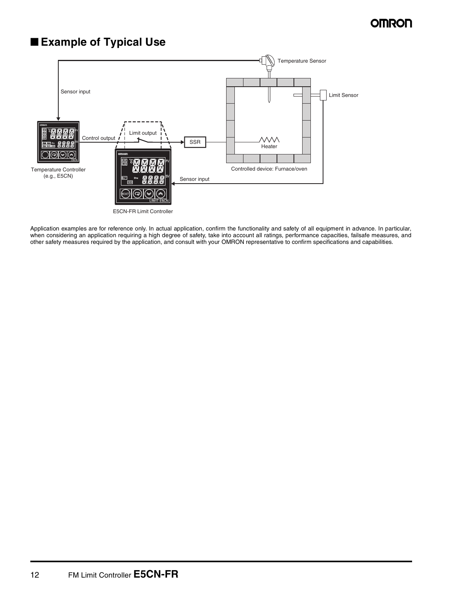## **Example of Typical Use**



Application examples are for reference only. In actual application, confirm the functionality and safety of all equipment in advance. In particular, when considering an application requiring a high degree of safety, take into account all ratings, performance capacities, failsafe measures, and other safety measures required by the application, and consult with your OMRON representative to confirm specifications and capabilities.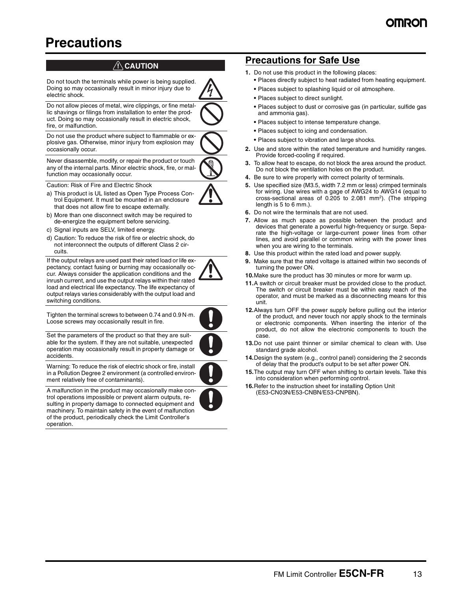

# <span id="page-12-0"></span>**Precautions**

### !**CAUTION**

Do not touch the terminals while power is being supplied. Doing so may occasionally result in minor injury due to electric shock.

Do not allow pieces of metal, wire clippings, or fine metallic shavings or filings from installation to enter the product. Doing so may occasionally result in electric shock, fire, or malfunction.

Do not use the product where subject to flammable or explosive gas. Otherwise, minor injury from explosion may occasionally occur.



Never disassemble, modify, or repair the product or touch any of the internal parts. Minor electric shock, fire, or malfunction may occasionally occur.

Caution: Risk of Fire and Electric Shock

- a) This product is UL listed as Open Type Process Control Equipment. It must be mounted in an enclosure that does not allow fire to escape externally.
- b) More than one disconnect switch may be required to de-energize the equipment before servicing.
- c) Signal inputs are SELV, limited energy.
- d) Caution: To reduce the risk of fire or electric shock, do not interconnect the outputs of different Class 2 circuits.

If the output relays are used past their rated load or life expectancy, contact fusing or burning may occasionally occur. Always consider the application conditions and the inrush current, and use the output relays within their rated load and electrical life expectancy. The life expectancy of output relays varies considerably with the output load and switching conditions.



Set the parameters of the product so that they are suitable for the system. If they are not suitable, unexpected operation may occasionally result in property damage or accidents.



Warning: To reduce the risk of electric shock or fire, install in a Pollution Degree 2 environment (a controlled environment relatively free of contaminants).

A malfunction in the product may occasionally make control operations impossible or prevent alarm outputs, resulting in property damage to connected equipment and machinery. To maintain safety in the event of malfunction of the product, periodically check the Limit Controller's operation.

### **Precautions for Safe Use**

- **1.** Do not use this product in the following places:
	- **•** Places directly subject to heat radiated from heating equipment.
	- **•** Places subject to splashing liquid or oil atmosphere.
	- **•** Places subject to direct sunlight.
	- **•** Places subject to dust or corrosive gas (in particular, sulfide gas and ammonia gas).
	- **•** Places subject to intense temperature change.
	- **•** Places subject to icing and condensation.
	- **•** Places subject to vibration and large shocks.
- **2.** Use and store within the rated temperature and humidity ranges. Provide forced-cooling if required.
- **3.** To allow heat to escape, do not block the area around the product. Do not block the ventilation holes on the product.
- **4.** Be sure to wire properly with correct polarity of terminals.
- **5.** Use specified size (M3.5, width 7.2 mm or less) crimped terminals for wiring. Use wires with a gage of AWG24 to AWG14 (equal to cross-sectional areas of 0.205 to 2.081 mm2). (The stripping length is 5 to 6 mm.).
- **6.** Do not wire the terminals that are not used.
- **7.** Allow as much space as possible between the product and devices that generate a powerful high-frequency or surge. Separate the high-voltage or large-current power lines from other lines, and avoid parallel or common wiring with the power lines when you are wiring to the terminals.
- **8.** Use this product within the rated load and power supply.
- **9.** Make sure that the rated voltage is attained within two seconds of turning the power ON.
- **10.**Make sure the product has 30 minutes or more for warm up.
- **11.**A switch or circuit breaker must be provided close to the product. The switch or circuit breaker must be within easy reach of the operator, and must be marked as a disconnecting means for this unit.
- **12.**Always turn OFF the power supply before pulling out the interior of the product, and never touch nor apply shock to the terminals or electronic components. When inserting the interior of the product, do not allow the electronic components to touch the case.
- **13.**Do not use paint thinner or similar chemical to clean with. Use standard grade alcohol.
- **14.**Design the system (e.g., control panel) considering the 2 seconds of delay that the product's output to be set after power ON.
- **15.**The output may turn OFF when shifting to certain levels. Take this into consideration when performing control.
- **16.**Refer to the instruction sheet for installing Option Unit (E53-CN03N/E53-CNBN/E53-CNPBN).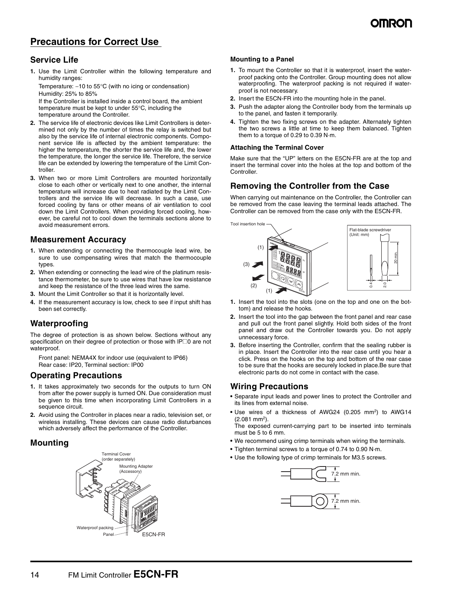## **Precautions for Correct Use**

### **Service Life**

**1.** Use the Limit Controller within the following temperature and humidity ranges:

Temperature: −10 to 55°C (with no icing or condensation) Humidity: 25% to 85%

If the Controller is installed inside a control board, the ambient temperature must be kept to under 55°C, including the temperature around the Controller.

- **2.** The service life of electronic devices like Limit Controllers is determined not only by the number of times the relay is switched but also by the service life of internal electronic components. Component service life is affected by the ambient temperature: the higher the temperature, the shorter the service life and, the lower the temperature, the longer the service life. Therefore, the service life can be extended by lowering the temperature of the Limit Controller.
- **3.** When two or more Limit Controllers are mounted horizontally close to each other or vertically next to one another, the internal temperature will increase due to heat radiated by the Limit Controllers and the service life will decrease. In such a case, use forced cooling by fans or other means of air ventilation to cool down the Limit Controllers. When providing forced cooling, however, be careful not to cool down the terminals sections alone to avoid measurement errors.

### **Measurement Accuracy**

- **1.** When extending or connecting the thermocouple lead wire, be sure to use compensating wires that match the thermocouple types.
- **2.** When extending or connecting the lead wire of the platinum resistance thermometer, be sure to use wires that have low resistance and keep the resistance of the three lead wires the same.
- **3.** Mount the Limit Controller so that it is horizontally level.
- **4.** If the measurement accuracy is low, check to see if input shift has been set correctly.

### **Waterproofing**

The degree of protection is as shown below. Sections without any specification on their degree of protection or those with  $IP\Box$ 0 are not waterproof.

Front panel: NEMA4X for indoor use (equivalent to IP66) Rear case: IP20, Terminal section: IP00

### **Operating Precautions**

- **1.** It takes approximately two seconds for the outputs to turn ON from after the power supply is turned ON. Due consideration must be given to this time when incorporating Limit Controllers in a sequence circuit.
- **2.** Avoid using the Controller in places near a radio, television set, or wireless installing. These devices can cause radio disturbances which adversely affect the performance of the Controller.

### **Mounting**



#### **Mounting to a Panel**

- **1.** To mount the Controller so that it is waterproof, insert the waterproof packing onto the Controller. Group mounting does not allow waterproofing. The waterproof packing is not required if waterproof is not necessary.
- **2.** Insert the E5CN-FR into the mounting hole in the panel.
- **3.** Push the adapter along the Controller body from the terminals up to the panel, and fasten it temporarily.
- **4.** Tighten the two fixing screws on the adapter. Alternately tighten the two screws a little at time to keep them balanced. Tighten them to a torque of 0.29 to 0.39 N·m.

#### **Attaching the Terminal Cover**

Make sure that the "UP" letters on the E5CN-FR are at the top and insert the terminal cover into the holes at the top and bottom of the Controller.

### **Removing the Controller from the Case**

When carrying out maintenance on the Controller, the Controller can be removed from the case leaving the terminal leads attached. The Controller can be removed from the case only with the E5CN-FR.



- **1.** Insert the tool into the slots (one on the top and one on the bottom) and release the hooks.
- **2.** Insert the tool into the gap between the front panel and rear case and pull out the front panel slightly. Hold both sides of the front panel and draw out the Controller towards you. Do not apply unnecessary force.
- **3.** Before inserting the Controller, confirm that the sealing rubber is in place. Insert the Controller into the rear case until you hear a click. Press on the hooks on the top and bottom of the rear case to be sure that the hooks are securely locked in place.Be sure that electronic parts do not come in contact with the case.

### **Wiring Precautions**

- **•** Separate input leads and power lines to protect the Controller and its lines from external noise.
- Use wires of a thickness of AWG24 (0.205 mm<sup>2</sup>) to AWG14  $(2.081$  mm<sup>2</sup>).
- The exposed current-carrying part to be inserted into terminals must be 5 to 6 mm.
- **•** We recommend using crimp terminals when wiring the terminals.
- **•** Tighten terminal screws to a torque of 0.74 to 0.90 N·m.
- **Ferminal Cover**<br>
 Use the following type of crimp terminals for M3.5 screws.

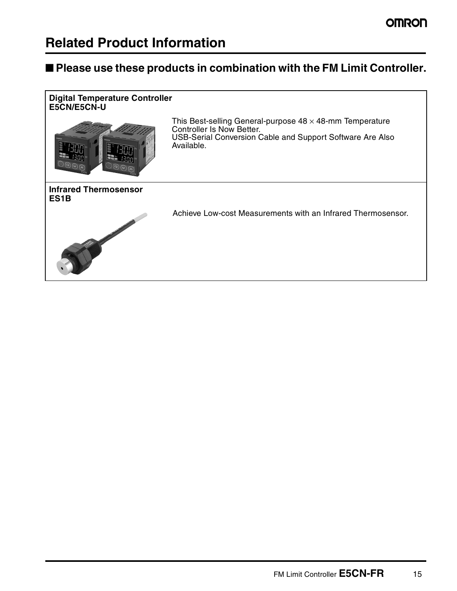## ■ Please use these products in combination with the FM Limit Controller.

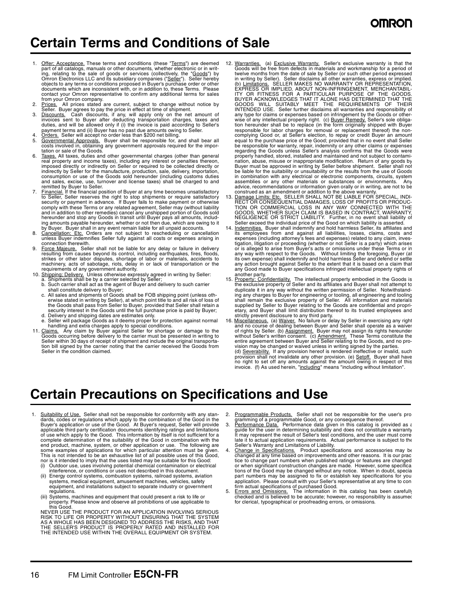# **Certain Terms and Conditions of Sale**

- 1. Offer; Acceptance. These terms and conditions (these "Terms") are deemed part of all catalogs, manuals or other documents, whether electronic or in writing, relating to the sale of goods or services (collectively, the "<u>Goods</u>") by<br>Omron Electronics LLC and its subsidiary companies ("<u>Selle</u>r"). Seller hereby<br>objects to any terms or conditions proposed in Buyer's purchase documents which are inconsistent with, or in addition to, these Terms. Please contact your Omron representative to confirm any additional terms for sales from your Omron company.
- 2. <u>Prices.</u> All prices stated are current, subject to change without notice by<br>Seller. Buyer agrees to pay the price in effect at time of shipment.<br>3. <u>Discounts.</u> Cash discounts, if any, will apply only on the net amount
- invoices sent to Buyer after deducting transportation charges, taxes and<br>duties, and will be allowed only if (i) the invoice is paid according to Seller's<br>payment terms and (ii) Buyer has no past due amounts owing to Selle
- 
- 5. Governmental Approvals. Buyer shall be responsible for, and shall bear all costs involved in, obtaining any government approvals required for the importation or sale of the Goods.
- 6. Taxes, All taxes, duties and other governmental charges (other than general<br>real property and income taxes), including any interest or penalties thereon, imposed directly or indirectly on Seller or required to be collected directly or<br>indirectly by Seller for the manufacture, production, sale, delivery, importation,<br>consumption or use of the Goods sold hereunder (including and sales, excise, use, turnover and license taxes) shall be charged to and remitted by Buyer to Seller.
- 7. Financial. If the financial position of Buyer at any time becomes unsatisfactory<br>to Seller, Seller reserves the right to stop shipments or require satisfactory<br>security or payment in advance. If Buyer fails to make paym comply with these Terms or any related agreement, Seller may (without liability and in addition to other remedies) cancel any unshipped portion of Goods sold hereunder and stop any Goods in transit until Buyer pays all amounts, includ-
- ing amounts payable hereunder, whether or not then due, which are owing to it<br>by Buyer. Buyer shall in any event remain liable for all unpaid accounts.<br>8. Cancellation: Etc. Orders are not subject to rescheduling or cancel connection therewith.
- 9. Force Majeure. Seller shall not be liable for any delay or failure in delivery resulting from causes beyond its control, including earthquakes, fires, floods, strikes or other labor disputes, shortage of labor or materials, accidents to
- machinery, acts of sabotage, riots, delay in or lack of transportation or the<br>requirements of any government authority.<br>10. Shipping: Delivery. Unless otherwise expressly agreed in writing by Seller:<br>a. Shipments shall be
	- shall constitute delivery to Buyer;
	- c. All sales and shipments of Goods shall be FOB shipping point (unless otherwise stated in writing by Seller), at which point title to and all risk of loss of the Goods shall pass from Seller to Buyer, provided that Selle
	-
	- d. Delivery and shipping dates are estimates only. e. Seller will package Goods as it deems proper for protection against normal
- handling and extra charges apply to special conditions.<br>11. Claims. Any claim by Buyer against Seller for shortage or damage to the<br>Goods occurring before delivery to the carrier must be presented in writing to<br>Seller with tion bill signed by the carrier noting that the carrier received the Goods from Seller in the condition claimed.
- 12. Warranties. (a) Exclusive Warranty. Seller's exclusive warranty is that the Goods will be free from defects in materials and workmanship for a period of twelve months from the date of sale by Seller (or such other period expressed<br>in writing by Seller). Seller disclaims all other warranties, express or implied.<br>(b) Limitations. SELLER MAKES NO WARRANTY OR REPRESENTATION,<br>E any type for claims or expenses based on infringement by the Goods or otherwise of any intellectual property right. (c) <u>Buyer Remedy</u>, Seller's sole obligation hereunder shall be to replace (in the form originally shipped with Buyer responsible for labor charges for removal or replacement thereo properly handled, stored, installed and maintained and not subject to contamination, abuse, misuse or inappropriate modification. Return of any goods by Buyer must be approved in writing by Seller before shipment. Seller shall not<br>be liable for the suitability or unsuitability or the results from the use of Goods<br>in combination with any electrical or electronic components, advice, recommendations or information given orally or in writing, are not to be
- construed as an amendment or addition to the above warranty.<br>
13. <u>Damage Limits: Etc.</u> SELLER SHALL NOT BE LIABLE FOR SPECIAL, INDI-<br>
RECT OR CONSEQUENTIAL DAMAGES, LOSS OF PROFITS OR PRODUC-<br>
TION OR COMMERCIAL LOSS IN A
- its employees from and against all liabilities, losses, claims, costs and expenses (including attorney's fees and expenses) related to any claim, investigation, litigation or proceeding (whether or not Seller is a party) which arises<br>or is alleged to arise from Buyer's acts or omissions under these Terms or in<br>any way with respect to the Goods. Without limiting the foreg any Good made to Buyer specifications infringed intellectual property rights of another party.
- 15. Property: Confidentiality. The intellectual property embodied in the Goods is<br>the exclusive property of Seller and its affiliates and Buyer shall not attempt to<br>duplicate it in any way without the written permission of ing any charges to Buyer for engineering or tooling, all engineering and tooling<br>shall remain the exclusive property of Seller. All information and materials<br>supplied by Seller to Buyer relating to the Goods are confidenti
- and no course of dealing between Buyer and Seller shall operate as a waiver<br>of rights by Seller. (b) <u>Assignment.</u> Buyer may not assign its rights hereunder<br>without Seller's written consent. (c) Amendment, These Terms cons (d) <u>Severability.</u> If any provision hereof is rendered ineffective or invalid, such<br>provision shall not invalidate any other provision. (e) <u>Setoff.</u> Buyer shall have<br>no right to set off any amounts against the amount ow

invoice. (f) As used herein, "including" means "including without limitation".

# **Certain Precautions on Specifications and Use**

- Suitability of Use. Seller shall not be responsible for conformity with any standards, codes or regulations which apply to the combination of the Good in the Buyer's application or use of the Good. At Buyer's request, Seller will provide applicable third party certification documents identifying ratings and limitations<br>of use which apply to the Good. This information by itself is not sufficient for a<br>complete determination of the suitability of the Good in end product, machine, system, or other application or use. The following are some examples of applications for which particular attention must be given. This is not intended to be an exhaustive list of all possible uses of this Good,
	- nor is it intended to imply that the uses listed may be suitable for this Good:<br>(i) Outdoor use, uses involving potential chemical contamination or electrical<br> interference, or conditions or uses not described in this do
	- (ii) Energy control systems, combustion systems, railroad systems, aviation systems, medical equipment, amusement machines, vehicles, safety equipment, and installations subject to separate industry or government regulations.
	- (iii) Systems, machines and equipment that could present a risk to life or property. Please know and observe all prohibitions of use applicable to this Good.

NEVER USE THE PRODUCT FOR AN APPLICATION INVOLVING SERIOUS<br>RISK TO LIFE OR PROPERTY WITHOUT ENSURING THAT THE SYSTEM<br>AS A WHOLE HAS BEEN DESIGNED TO ADDRESS THE RISKS, AND THAT<br>THE INTENDED USE WITHIN THE OVERALL EQUIPMENT

Programmable Products. Seller shall not be responsible for the user's pro

- gramming of a programmable Good, or any consequence thereof.<br>3. Performance Data. Performance data given in this catalog is provided as a<br>guide for the user in determining suitability and does not constitute a warranty It may represent the result of Seller's test conditions, and the user must corre late it to actual application requirements. Actual performance is subject to the
- Seller's Warranty and Limitations of Liability.<br>4. Change in Specifications. Product specifications and accessories may be<br>changed at any time based on improvements and other reasons. It is our prac tice to change part numbers when published ratings or features are changed<br>or when significant construction changes are made. However, some specifica<br>tions of the Good may be changed without any notice. When in doubt, spec firm actual specifications of purchased Good.
- 5. Errors and Omissions. The information in this catalog has been carefully<br>checked and is believed to be accurate; however, no responsibility is assumed for clerical, typographical or proofreading errors, or omissions.